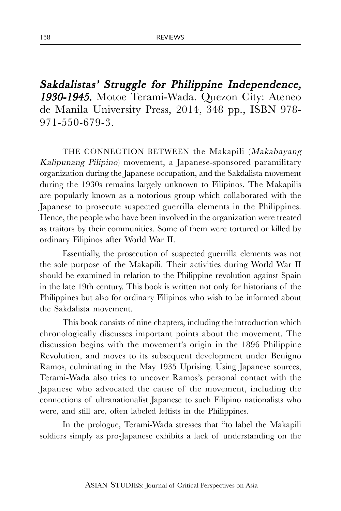Sakdalistas' Struggle for Philippine Independence, 1930-1945. Motoe Terami-Wada. Quezon City: Ateneo de Manila University Press, 2014, 348 pp., ISBN 978- 971-550-679-3.

THE CONNECTION BETWEEN the Makapili (Makabayang Kalipunang Pilipino) movement, a Japanese-sponsored paramilitary organization during the Japanese occupation, and the Sakdalista movement during the 1930s remains largely unknown to Filipinos. The Makapilis are popularly known as a notorious group which collaborated with the Japanese to prosecute suspected guerrilla elements in the Philippines. Hence, the people who have been involved in the organization were treated as traitors by their communities. Some of them were tortured or killed by ordinary Filipinos after World War II.

Essentially, the prosecution of suspected guerrilla elements was not the sole purpose of the Makapili. Their activities during World War II should be examined in relation to the Philippine revolution against Spain in the late 19th century. This book is written not only for historians of the Philippines but also for ordinary Filipinos who wish to be informed about the Sakdalista movement.

This book consists of nine chapters, including the introduction which chronologically discusses important points about the movement. The discussion begins with the movement's origin in the 1896 Philippine Revolution, and moves to its subsequent development under Benigno Ramos, culminating in the May 1935 Uprising. Using Japanese sources, Terami-Wada also tries to uncover Ramos's personal contact with the Japanese who advocated the cause of the movement, including the connections of ultranationalist Japanese to such Filipino nationalists who were, and still are, often labeled leftists in the Philippines.

In the prologue, Terami-Wada stresses that "to label the Makapili soldiers simply as pro-Japanese exhibits a lack of understanding on the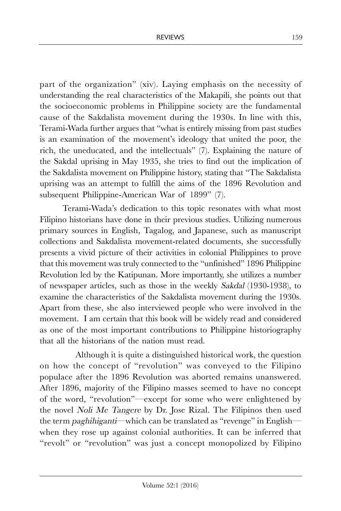part of the organization" (xiv). Laying emphasis on the necessity of understanding the real characteristics of the Makapili, she points out that the socioeconomic problems in Philippine society are the fundamental cause of the Sakdalista movement during the 1930s. In line with this, Terami-Wada further argues that "what is entirely missing from past studies is an examination of the movement's ideology that united the poor, the rich, the uneducated, and the intellectuals" (7). Explaining the nature of the Sakdal uprising in May 1935, she tries to find out the implication of the Sakdalista movement on Philippine history, stating that "The Sakdalista uprising was an attempt to fulfill the aims of the 1896 Revolution and subsequent Philippine-American War of 1899" (7).

Terami-Wada's dedication to this topic resonates with what most Filipino historians have done in their previous studies. Utilizing numerous primary sources in English, Tagalog, and Japanese, such as manuscript collections and Sakdalista movement-related documents, she successfully presents a vivid picture of their activities in colonial Philippines to prove that this movement was truly connected to the "unfinished" 1896 Philippine Revolution led by the Katipunan. More importantly, she utilizes a number of newspaper articles, such as those in the weekly Sakdal (1930-1938), to examine the characteristics of the Sakdalista movement during the 1930s. Apart from these, she also interviewed people who were involved in the movement. I am certain that this book will be widely read and considered as one of the most important contributions to Philippine historiography that all the historians of the nation must read.

 Although it is quite a distinguished historical work, the question on how the concept of "revolution" was conveyed to the Filipino populace after the 1896 Revolution was aborted remains unanswered. After 1896, majority of the Filipino masses seemed to have no concept of the word, "revolution"—except for some who were enlightened by the novel Noli Me Tangere by Dr. Jose Rizal. The Filipinos then used the term paghihiganti—which can be translated as "revenge" in English when they rose up against colonial authorities. It can be inferred that "revolt" or "revolution" was just a concept monopolized by Filipino